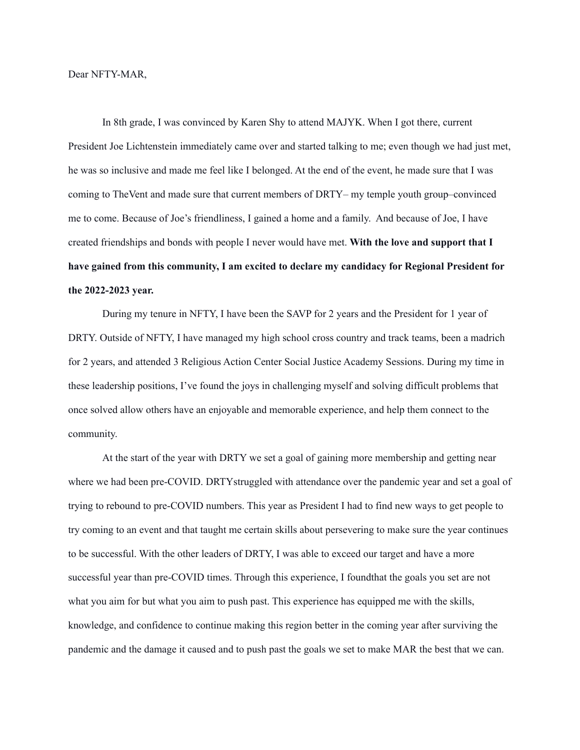## Dear NFTY-MAR,

In 8th grade, I was convinced by Karen Shy to attend MAJYK. When I got there, current President Joe Lichtenstein immediately came over and started talking to me; even though we had just met, he was so inclusive and made me feel like I belonged. At the end of the event, he made sure that I was coming to TheVent and made sure that current members of DRTY– my temple youth group–convinced me to come. Because of Joe's friendliness, I gained a home and a family. And because of Joe, I have created friendships and bonds with people I never would have met. **With the love and support that I have gained from this community, I am excited to declare my candidacy for Regional President for the 2022-2023 year.**

During my tenure in NFTY, I have been the SAVP for 2 years and the President for 1 year of DRTY. Outside of NFTY, I have managed my high school cross country and track teams, been a madrich for 2 years, and attended 3 Religious Action Center Social Justice Academy Sessions. During my time in these leadership positions, I've found the joys in challenging myself and solving difficult problems that once solved allow others have an enjoyable and memorable experience, and help them connect to the community.

At the start of the year with DRTY we set a goal of gaining more membership and getting near where we had been pre-COVID. DRTYstruggled with attendance over the pandemic year and set a goal of trying to rebound to pre-COVID numbers. This year as President I had to find new ways to get people to try coming to an event and that taught me certain skills about persevering to make sure the year continues to be successful. With the other leaders of DRTY, I was able to exceed our target and have a more successful year than pre-COVID times. Through this experience, I foundthat the goals you set are not what you aim for but what you aim to push past. This experience has equipped me with the skills, knowledge, and confidence to continue making this region better in the coming year after surviving the pandemic and the damage it caused and to push past the goals we set to make MAR the best that we can.